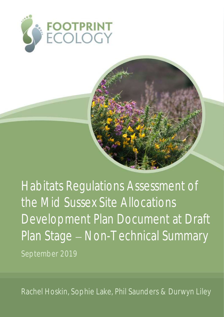



Rachel Hoskin, Sophie Lake, Phil Saunders & Durwyn Liley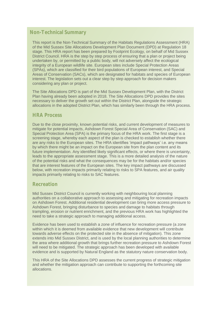# **Non-Technical Summary**

This report is the Non-Technical Summary of the Habitats Regulations Assessment (HRA) of the Mid Sussex Site Allocations Development Plan Document (DPD) at Regulation 18 stage. This HRA report has been prepared by Footprint Ecology, on behalf of Mid Sussex District Council. HRA is the step by step process of ensuring that a plan or project being undertaken by, or permitted by a public body, will not adversely affect the ecological integrity of a European wildlife site. European sites include Special Protection Areas (SPAs), which are classified for their bird populations of European interest, and Special Areas of Conservation (SACs), which are designated for habitats and species of European interest. The legislation sets out a clear step by step approach for decision makers considering any plan or project.

The Site Allocations DPD is part of the Mid Sussex Development Plan, with the District Plan having already been adopted in 2018. The Site Allocations DPD provides the sites necessary to deliver the growth set out within the District Plan, alongside the strategic allocations in the adopted District Plan, which has similarly been through the HRA process.

### **HRA Process**

Due to the close proximity, known potential risks, and current development of measures to mitigate for potential impacts, Ashdown Forest Special Area of Conservation (SAC) and Special Protection Area (SPA) is the primary focus of the HRA work. The first stage is a screening stage, whereby each aspect of the plan is checked to establish whether there are any risks to the European sites. The HRA identifies 'impact pathways' i.e. any means by which there might be an impact on the European site from the plan content and its future implementation. Any identified likely significant effects, or where there is uncertainty, leads to the appropriate assessment stage. This is a more detailed analysis of the nature of the potential risks and what the consequences may be for the habitats and/or species that are interest features of the European sites. The key impact pathways are discussed below, with recreation impacts primarily relating to risks to SPA features, and air quality impacts primarily relating to risks to SAC features.

### **Recreation**

Mid Sussex District Council is currently working with neighbouring local planning authorities on a collaborative approach to assessing and mitigating for recreation impacts on Ashdown Forest. Additional residential development can bring more access pressure to Ashdown Forest, bringing disturbance to species and damage to habitats through trampling, erosion or nutrient enrichment, and the previous HRA work has highlighted the need to take a strategic approach to managing additional access.

Evidence has been used to establish a zone of influence for recreation pressure (a zone within which it is deemed from available evidence that new development will contribute towards adverse effects on the protected site in the absence of mitigation). This zone extends into Mid Sussex District, and is used by the local planning authorities to determine the area where additional growth that brings further recreation pressure to Ashdown Forest will need to be mitigated. The strategic approach has been developed with available evidence and is supported by Natural England as the statutory nature conservation body.

This HRA of the Site Allocations DPD assesses the current progress of strategic mitigation and whether the mitigation approach can contribute to supporting the forthcoming site allocations.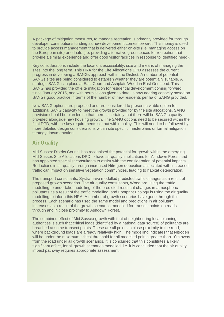A package of mitigation measures, to manage recreation is primarily provided for through developer contributions funding as new development comes forward. This money is used to provide access management that is delivered either on-site (i.e. managing access on the European site) or off-site (i.e. providing alternative greenspaces for recreation that provide a similar experience and offer good visitor facilities in response to identified need).

Key considerations include the location, accessibility, size and means of managing the sites into the long term. This HRA for the Site Allocations DPD assesses the current progress in developing a SANGs approach within the District. A number of potential SANGs sites are being considered to establish whether they are potentially suitable. A strategic SANG is in place at East Court and Ashplats Wood in East Grinstead. This SANG has provided the off-site mitigation for residential development coming forward since January 2015, and with permissions given to date, is now nearing capacity based on SANGs good practice in terms of the number of new residents per ha of SANG provided.

New SANG options are proposed and are considered to present a viable option for additional SANG capacity to meet the growth provided for by the site allocations. SANG provision should be plan led so that there is certainty that there will be SANG capacity provided alongside new housing growth. The SANG options need to be secured within the final DPD, with the key requirements set out within policy. This will need to be followed by more detailed design considerations within site specific masterplans or formal mitigation strategy documentation.

## **Air Quality**

Mid Sussex District Council has recognised the potential for growth within the emerging Mid Sussex Site Allocations DPD to have air quality implications for Ashdown Forest and has appointed specialist consultants to assist with the consideration of potential impacts. Reductions in air quality through increased Nitrogen deposition associated with increased traffic can impact on sensitive vegetation communities, leading to habitat deterioration.

The transport consultants, Systra have modelled predicted traffic changes as a result of proposed growth scenarios. The air quality consultants, Wood are using the traffic modelling to undertake modelling of the predicted resultant changes in atmospheric pollutants as a result of the traffic modelling, and Footprint Ecology is using the air quality modelling to inform this HRA. A number of growth scenarios have gone through this process. Each scenario has used the same model and predictions in air pollutant increases as a result of the growth scenarios modelled for transect points on roads through and in close proximity to Ashdown Forest.

The combined effect of Mid Sussex growth with that of neighbouring local planning authorities is such that critical loads (identified by a national data source) of pollutants are breached at some transect points. These are all points in close proximity to the road, where background loads are already relatively high. The modelling indicates that Nitrogen will be under the maximum critical threshold for all modelled points greater than 10m away from the road under all growth scenarios. It is concluded that this constitutes a likely significant effect, for all growth scenarios modelled, i.e. it is concluded that the air quality impact pathway requires appropriate assessment.